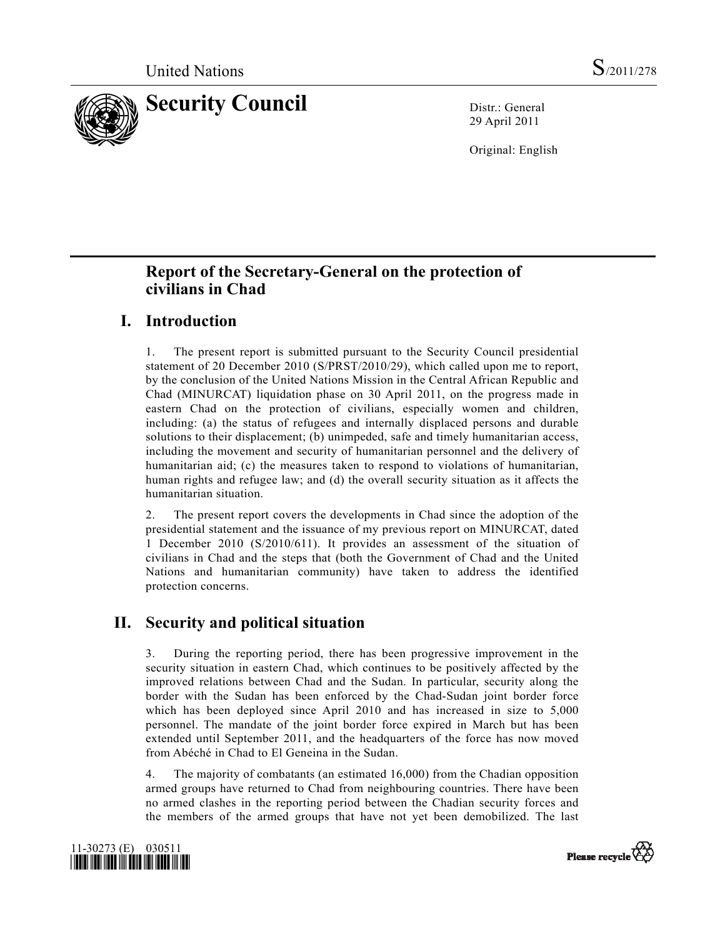

29 April 2011

Original: English

# **Report of the Secretary-General on the protection of civilians in Chad**

# **I. Introduction**

1. The present report is submitted pursuant to the Security Council presidential statement of 20 December 2010 (S/PRST/2010/29), which called upon me to report, by the conclusion of the United Nations Mission in the Central African Republic and Chad (MINURCAT) liquidation phase on 30 April 2011, on the progress made in eastern Chad on the protection of civilians, especially women and children, including: (a) the status of refugees and internally displaced persons and durable solutions to their displacement; (b) unimpeded, safe and timely humanitarian access, including the movement and security of humanitarian personnel and the delivery of humanitarian aid; (c) the measures taken to respond to violations of humanitarian, human rights and refugee law; and (d) the overall security situation as it affects the humanitarian situation.

2. The present report covers the developments in Chad since the adoption of the presidential statement and the issuance of my previous report on MINURCAT, dated 1 December 2010 (S/2010/611). It provides an assessment of the situation of civilians in Chad and the steps that (both the Government of Chad and the United Nations and humanitarian community) have taken to address the identified protection concerns.

# **II. Security and political situation**

3. During the reporting period, there has been progressive improvement in the security situation in eastern Chad, which continues to be positively affected by the improved relations between Chad and the Sudan. In particular, security along the border with the Sudan has been enforced by the Chad-Sudan joint border force which has been deployed since April 2010 and has increased in size to 5,000 personnel. The mandate of the joint border force expired in March but has been extended until September 2011, and the headquarters of the force has now moved from Abéché in Chad to El Geneina in the Sudan.

4. The majority of combatants (an estimated 16,000) from the Chadian opposition armed groups have returned to Chad from neighbouring countries. There have been no armed clashes in the reporting period between the Chadian security forces and the members of the armed groups that have not yet been demobilized. The last



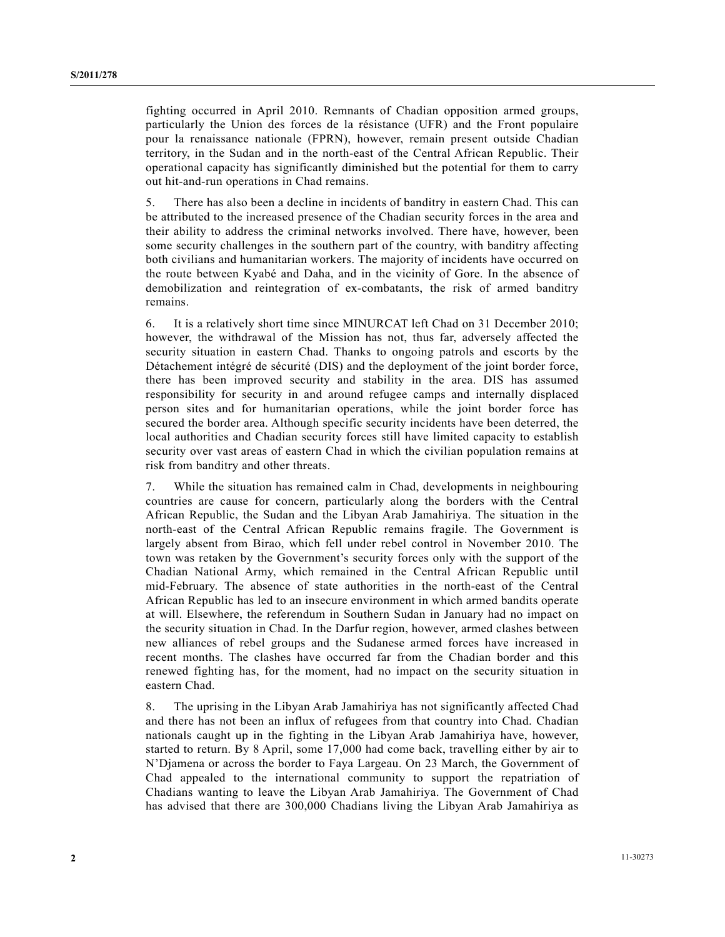fighting occurred in April 2010. Remnants of Chadian opposition armed groups, particularly the Union des forces de la résistance (UFR) and the Front populaire pour la renaissance nationale (FPRN), however, remain present outside Chadian territory, in the Sudan and in the north-east of the Central African Republic. Their operational capacity has significantly diminished but the potential for them to carry out hit-and-run operations in Chad remains.

5. There has also been a decline in incidents of banditry in eastern Chad. This can be attributed to the increased presence of the Chadian security forces in the area and their ability to address the criminal networks involved. There have, however, been some security challenges in the southern part of the country, with banditry affecting both civilians and humanitarian workers. The majority of incidents have occurred on the route between Kyabé and Daha, and in the vicinity of Gore. In the absence of demobilization and reintegration of ex-combatants, the risk of armed banditry remains.

6. It is a relatively short time since MINURCAT left Chad on 31 December 2010; however, the withdrawal of the Mission has not, thus far, adversely affected the security situation in eastern Chad. Thanks to ongoing patrols and escorts by the Détachement intégré de sécurité (DIS) and the deployment of the joint border force, there has been improved security and stability in the area. DIS has assumed responsibility for security in and around refugee camps and internally displaced person sites and for humanitarian operations, while the joint border force has secured the border area. Although specific security incidents have been deterred, the local authorities and Chadian security forces still have limited capacity to establish security over vast areas of eastern Chad in which the civilian population remains at risk from banditry and other threats.

7. While the situation has remained calm in Chad, developments in neighbouring countries are cause for concern, particularly along the borders with the Central African Republic, the Sudan and the Libyan Arab Jamahiriya. The situation in the north-east of the Central African Republic remains fragile. The Government is largely absent from Birao, which fell under rebel control in November 2010. The town was retaken by the Government's security forces only with the support of the Chadian National Army, which remained in the Central African Republic until mid-February. The absence of state authorities in the north-east of the Central African Republic has led to an insecure environment in which armed bandits operate at will. Elsewhere, the referendum in Southern Sudan in January had no impact on the security situation in Chad. In the Darfur region, however, armed clashes between new alliances of rebel groups and the Sudanese armed forces have increased in recent months. The clashes have occurred far from the Chadian border and this renewed fighting has, for the moment, had no impact on the security situation in eastern Chad.

8. The uprising in the Libyan Arab Jamahiriya has not significantly affected Chad and there has not been an influx of refugees from that country into Chad. Chadian nationals caught up in the fighting in the Libyan Arab Jamahiriya have, however, started to return. By 8 April, some 17,000 had come back, travelling either by air to N'Djamena or across the border to Faya Largeau. On 23 March, the Government of Chad appealed to the international community to support the repatriation of Chadians wanting to leave the Libyan Arab Jamahiriya. The Government of Chad has advised that there are 300,000 Chadians living the Libyan Arab Jamahiriya as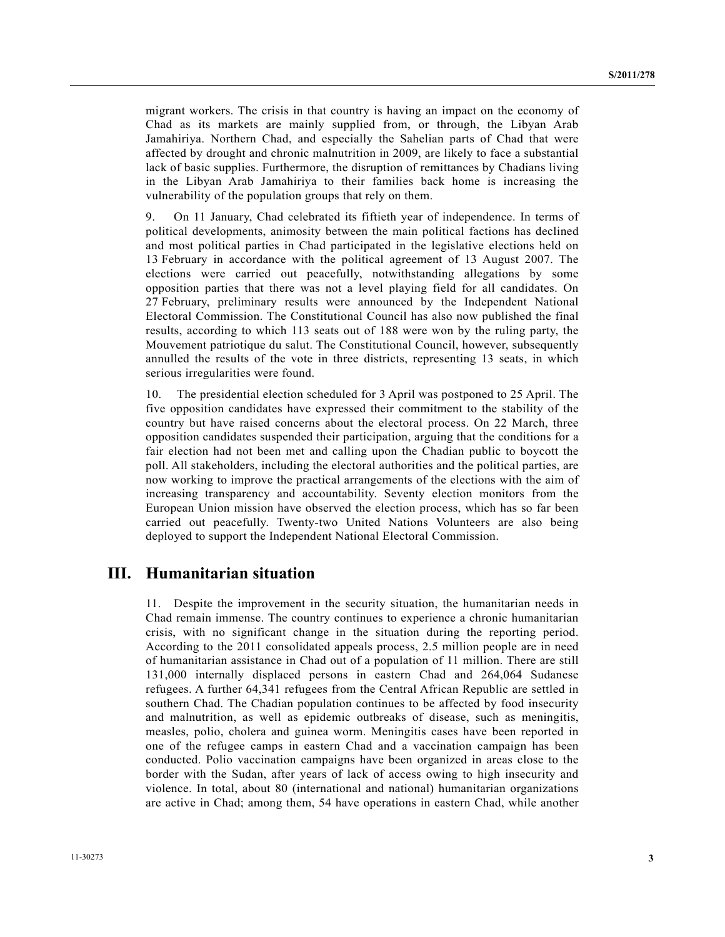migrant workers. The crisis in that country is having an impact on the economy of Chad as its markets are mainly supplied from, or through, the Libyan Arab Jamahiriya. Northern Chad, and especially the Sahelian parts of Chad that were affected by drought and chronic malnutrition in 2009, are likely to face a substantial lack of basic supplies. Furthermore, the disruption of remittances by Chadians living in the Libyan Arab Jamahiriya to their families back home is increasing the vulnerability of the population groups that rely on them.

9. On 11 January, Chad celebrated its fiftieth year of independence. In terms of political developments, animosity between the main political factions has declined and most political parties in Chad participated in the legislative elections held on 13 February in accordance with the political agreement of 13 August 2007. The elections were carried out peacefully, notwithstanding allegations by some opposition parties that there was not a level playing field for all candidates. On 27 February, preliminary results were announced by the Independent National Electoral Commission. The Constitutional Council has also now published the final results, according to which 113 seats out of 188 were won by the ruling party, the Mouvement patriotique du salut. The Constitutional Council, however, subsequently annulled the results of the vote in three districts, representing 13 seats, in which serious irregularities were found.

10. The presidential election scheduled for 3 April was postponed to 25 April. The five opposition candidates have expressed their commitment to the stability of the country but have raised concerns about the electoral process. On 22 March, three opposition candidates suspended their participation, arguing that the conditions for a fair election had not been met and calling upon the Chadian public to boycott the poll. All stakeholders, including the electoral authorities and the political parties, are now working to improve the practical arrangements of the elections with the aim of increasing transparency and accountability. Seventy election monitors from the European Union mission have observed the election process, which has so far been carried out peacefully. Twenty-two United Nations Volunteers are also being deployed to support the Independent National Electoral Commission.

## **III. Humanitarian situation**

11. Despite the improvement in the security situation, the humanitarian needs in Chad remain immense. The country continues to experience a chronic humanitarian crisis, with no significant change in the situation during the reporting period. According to the 2011 consolidated appeals process, 2.5 million people are in need of humanitarian assistance in Chad out of a population of 11 million. There are still 131,000 internally displaced persons in eastern Chad and 264,064 Sudanese refugees. A further 64,341 refugees from the Central African Republic are settled in southern Chad. The Chadian population continues to be affected by food insecurity and malnutrition, as well as epidemic outbreaks of disease, such as meningitis, measles, polio, cholera and guinea worm. Meningitis cases have been reported in one of the refugee camps in eastern Chad and a vaccination campaign has been conducted. Polio vaccination campaigns have been organized in areas close to the border with the Sudan, after years of lack of access owing to high insecurity and violence. In total, about 80 (international and national) humanitarian organizations are active in Chad; among them, 54 have operations in eastern Chad, while another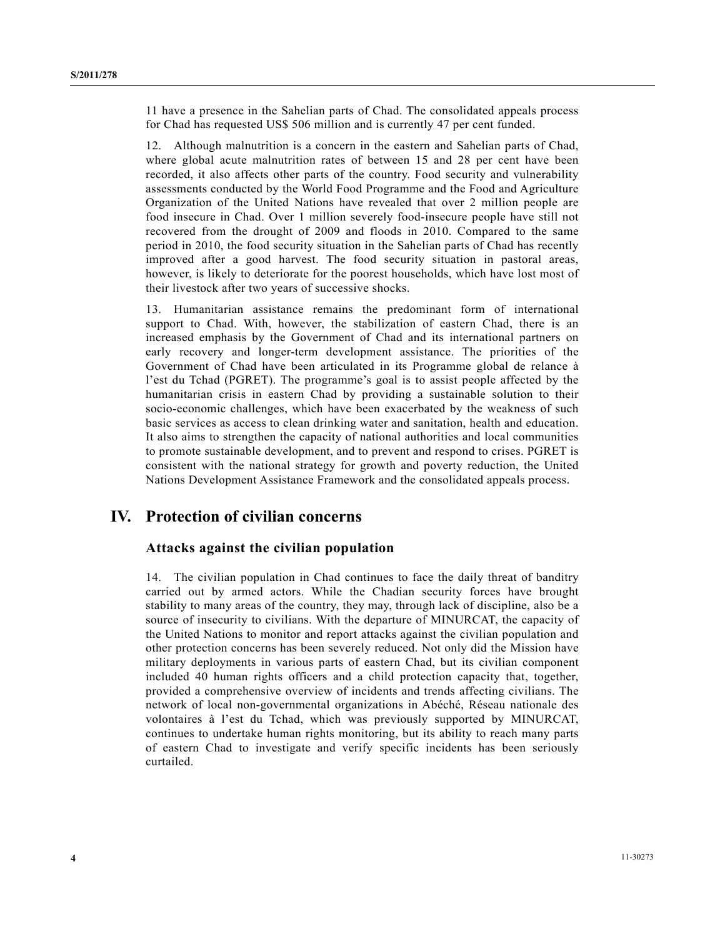11 have a presence in the Sahelian parts of Chad. The consolidated appeals process for Chad has requested US\$ 506 million and is currently 47 per cent funded.

12. Although malnutrition is a concern in the eastern and Sahelian parts of Chad, where global acute malnutrition rates of between 15 and 28 per cent have been recorded, it also affects other parts of the country. Food security and vulnerability assessments conducted by the World Food Programme and the Food and Agriculture Organization of the United Nations have revealed that over 2 million people are food insecure in Chad. Over 1 million severely food-insecure people have still not recovered from the drought of 2009 and floods in 2010. Compared to the same period in 2010, the food security situation in the Sahelian parts of Chad has recently improved after a good harvest. The food security situation in pastoral areas, however, is likely to deteriorate for the poorest households, which have lost most of their livestock after two years of successive shocks.

13. Humanitarian assistance remains the predominant form of international support to Chad. With, however, the stabilization of eastern Chad, there is an increased emphasis by the Government of Chad and its international partners on early recovery and longer-term development assistance. The priorities of the Government of Chad have been articulated in its Programme global de relance à l'est du Tchad (PGRET). The programme's goal is to assist people affected by the humanitarian crisis in eastern Chad by providing a sustainable solution to their socio-economic challenges, which have been exacerbated by the weakness of such basic services as access to clean drinking water and sanitation, health and education. It also aims to strengthen the capacity of national authorities and local communities to promote sustainable development, and to prevent and respond to crises. PGRET is consistent with the national strategy for growth and poverty reduction, the United Nations Development Assistance Framework and the consolidated appeals process.

# **IV. Protection of civilian concerns**

### **Attacks against the civilian population**

14. The civilian population in Chad continues to face the daily threat of banditry carried out by armed actors. While the Chadian security forces have brought stability to many areas of the country, they may, through lack of discipline, also be a source of insecurity to civilians. With the departure of MINURCAT, the capacity of the United Nations to monitor and report attacks against the civilian population and other protection concerns has been severely reduced. Not only did the Mission have military deployments in various parts of eastern Chad, but its civilian component included 40 human rights officers and a child protection capacity that, together, provided a comprehensive overview of incidents and trends affecting civilians. The network of local non-governmental organizations in Abéché, Réseau nationale des volontaires à l'est du Tchad, which was previously supported by MINURCAT, continues to undertake human rights monitoring, but its ability to reach many parts of eastern Chad to investigate and verify specific incidents has been seriously curtailed.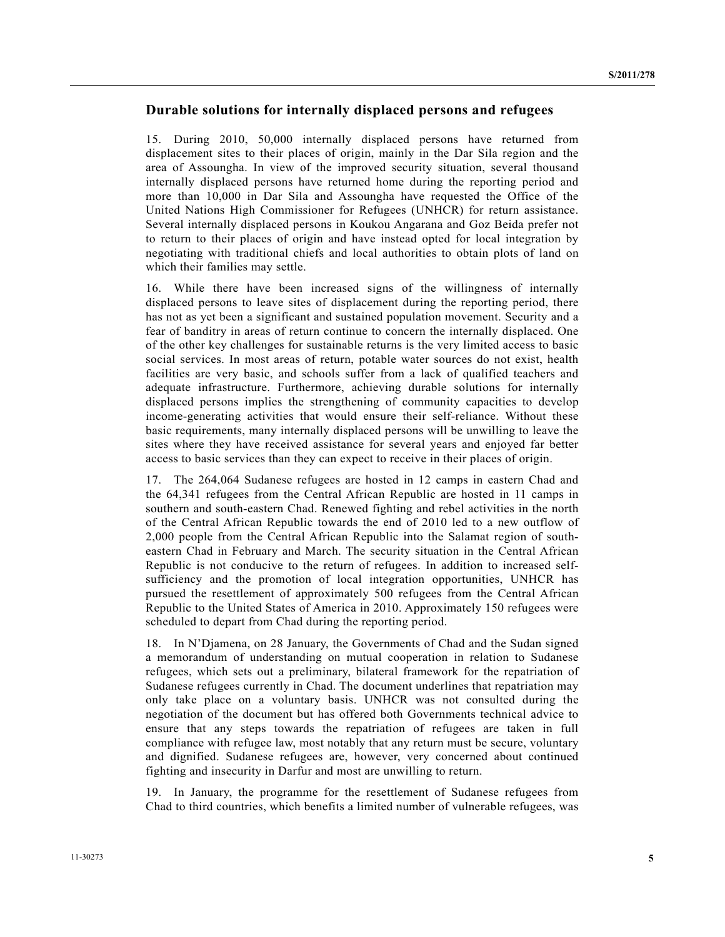#### **Durable solutions for internally displaced persons and refugees**

15. During 2010, 50,000 internally displaced persons have returned from displacement sites to their places of origin, mainly in the Dar Sila region and the area of Assoungha. In view of the improved security situation, several thousand internally displaced persons have returned home during the reporting period and more than 10,000 in Dar Sila and Assoungha have requested the Office of the United Nations High Commissioner for Refugees (UNHCR) for return assistance. Several internally displaced persons in Koukou Angarana and Goz Beida prefer not to return to their places of origin and have instead opted for local integration by negotiating with traditional chiefs and local authorities to obtain plots of land on which their families may settle.

16. While there have been increased signs of the willingness of internally displaced persons to leave sites of displacement during the reporting period, there has not as yet been a significant and sustained population movement. Security and a fear of banditry in areas of return continue to concern the internally displaced. One of the other key challenges for sustainable returns is the very limited access to basic social services. In most areas of return, potable water sources do not exist, health facilities are very basic, and schools suffer from a lack of qualified teachers and adequate infrastructure. Furthermore, achieving durable solutions for internally displaced persons implies the strengthening of community capacities to develop income-generating activities that would ensure their self-reliance. Without these basic requirements, many internally displaced persons will be unwilling to leave the sites where they have received assistance for several years and enjoyed far better access to basic services than they can expect to receive in their places of origin.

17. The 264,064 Sudanese refugees are hosted in 12 camps in eastern Chad and the 64,341 refugees from the Central African Republic are hosted in 11 camps in southern and south-eastern Chad. Renewed fighting and rebel activities in the north of the Central African Republic towards the end of 2010 led to a new outflow of 2,000 people from the Central African Republic into the Salamat region of southeastern Chad in February and March. The security situation in the Central African Republic is not conducive to the return of refugees. In addition to increased selfsufficiency and the promotion of local integration opportunities, UNHCR has pursued the resettlement of approximately 500 refugees from the Central African Republic to the United States of America in 2010. Approximately 150 refugees were scheduled to depart from Chad during the reporting period.

18. In N'Djamena, on 28 January, the Governments of Chad and the Sudan signed a memorandum of understanding on mutual cooperation in relation to Sudanese refugees, which sets out a preliminary, bilateral framework for the repatriation of Sudanese refugees currently in Chad. The document underlines that repatriation may only take place on a voluntary basis. UNHCR was not consulted during the negotiation of the document but has offered both Governments technical advice to ensure that any steps towards the repatriation of refugees are taken in full compliance with refugee law, most notably that any return must be secure, voluntary and dignified. Sudanese refugees are, however, very concerned about continued fighting and insecurity in Darfur and most are unwilling to return.

19. In January, the programme for the resettlement of Sudanese refugees from Chad to third countries, which benefits a limited number of vulnerable refugees, was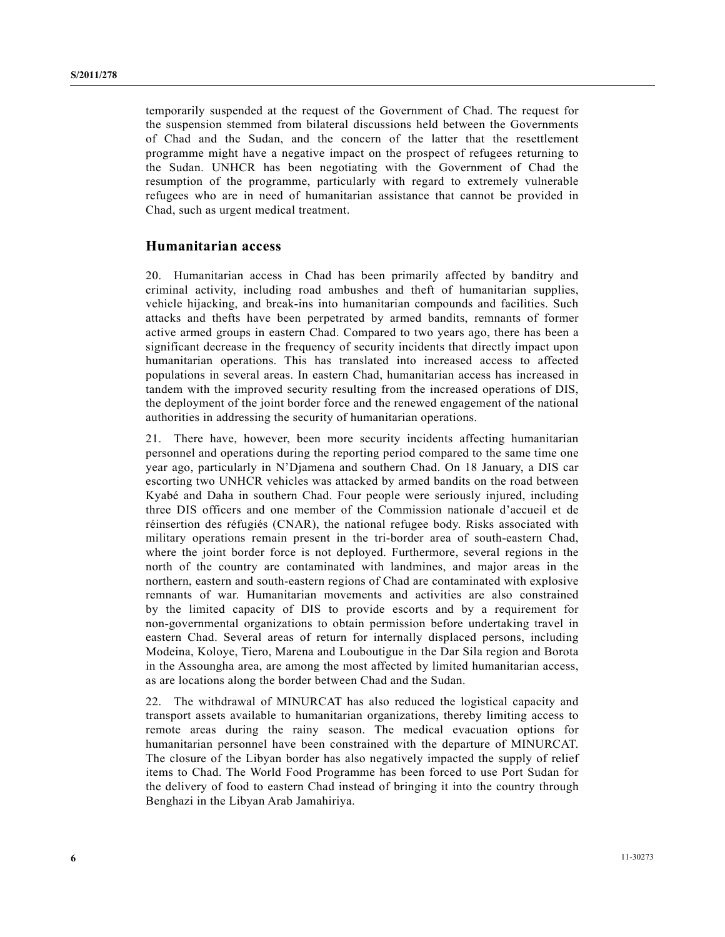temporarily suspended at the request of the Government of Chad. The request for the suspension stemmed from bilateral discussions held between the Governments of Chad and the Sudan, and the concern of the latter that the resettlement programme might have a negative impact on the prospect of refugees returning to the Sudan. UNHCR has been negotiating with the Government of Chad the resumption of the programme, particularly with regard to extremely vulnerable refugees who are in need of humanitarian assistance that cannot be provided in Chad, such as urgent medical treatment.

#### **Humanitarian access**

20. Humanitarian access in Chad has been primarily affected by banditry and criminal activity, including road ambushes and theft of humanitarian supplies, vehicle hijacking, and break-ins into humanitarian compounds and facilities. Such attacks and thefts have been perpetrated by armed bandits, remnants of former active armed groups in eastern Chad. Compared to two years ago, there has been a significant decrease in the frequency of security incidents that directly impact upon humanitarian operations. This has translated into increased access to affected populations in several areas. In eastern Chad, humanitarian access has increased in tandem with the improved security resulting from the increased operations of DIS, the deployment of the joint border force and the renewed engagement of the national authorities in addressing the security of humanitarian operations.

21. There have, however, been more security incidents affecting humanitarian personnel and operations during the reporting period compared to the same time one year ago, particularly in N'Djamena and southern Chad. On 18 January, a DIS car escorting two UNHCR vehicles was attacked by armed bandits on the road between Kyabé and Daha in southern Chad. Four people were seriously injured, including three DIS officers and one member of the Commission nationale d'accueil et de réinsertion des réfugiés (CNAR), the national refugee body. Risks associated with military operations remain present in the tri-border area of south-eastern Chad, where the joint border force is not deployed. Furthermore, several regions in the north of the country are contaminated with landmines, and major areas in the northern, eastern and south-eastern regions of Chad are contaminated with explosive remnants of war. Humanitarian movements and activities are also constrained by the limited capacity of DIS to provide escorts and by a requirement for non-governmental organizations to obtain permission before undertaking travel in eastern Chad. Several areas of return for internally displaced persons, including Modeina, Koloye, Tiero, Marena and Louboutigue in the Dar Sila region and Borota in the Assoungha area, are among the most affected by limited humanitarian access, as are locations along the border between Chad and the Sudan.

22. The withdrawal of MINURCAT has also reduced the logistical capacity and transport assets available to humanitarian organizations, thereby limiting access to remote areas during the rainy season. The medical evacuation options for humanitarian personnel have been constrained with the departure of MINURCAT. The closure of the Libyan border has also negatively impacted the supply of relief items to Chad. The World Food Programme has been forced to use Port Sudan for the delivery of food to eastern Chad instead of bringing it into the country through Benghazi in the Libyan Arab Jamahiriya.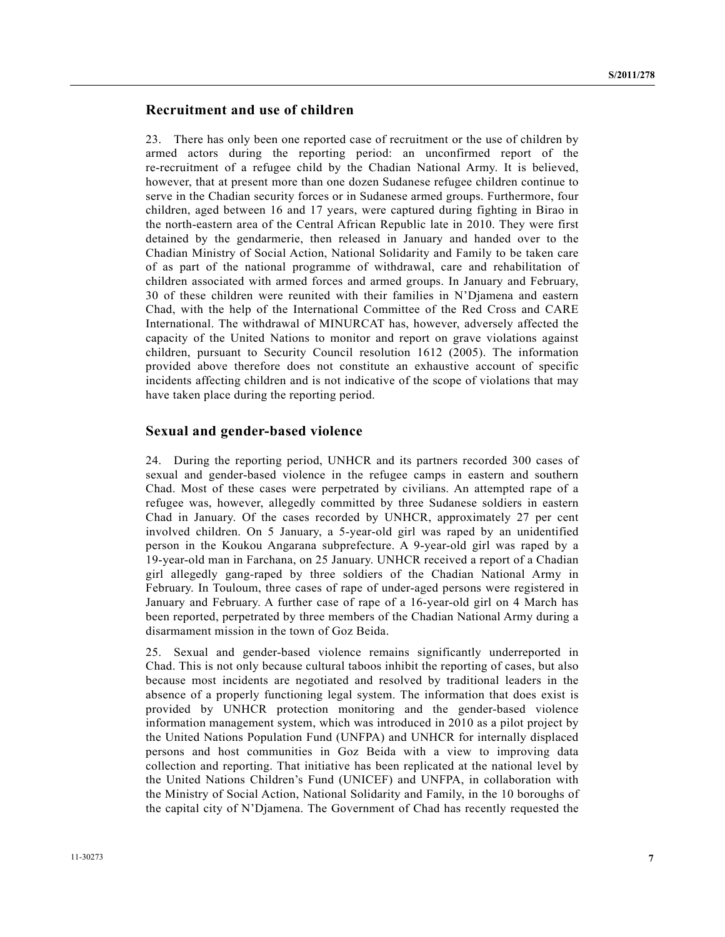#### **Recruitment and use of children**

23. There has only been one reported case of recruitment or the use of children by armed actors during the reporting period: an unconfirmed report of the re-recruitment of a refugee child by the Chadian National Army. It is believed, however, that at present more than one dozen Sudanese refugee children continue to serve in the Chadian security forces or in Sudanese armed groups. Furthermore, four children, aged between 16 and 17 years, were captured during fighting in Birao in the north-eastern area of the Central African Republic late in 2010. They were first detained by the gendarmerie, then released in January and handed over to the Chadian Ministry of Social Action, National Solidarity and Family to be taken care of as part of the national programme of withdrawal, care and rehabilitation of children associated with armed forces and armed groups. In January and February, 30 of these children were reunited with their families in N'Djamena and eastern Chad, with the help of the International Committee of the Red Cross and CARE International. The withdrawal of MINURCAT has, however, adversely affected the capacity of the United Nations to monitor and report on grave violations against children, pursuant to Security Council resolution 1612 (2005). The information provided above therefore does not constitute an exhaustive account of specific incidents affecting children and is not indicative of the scope of violations that may have taken place during the reporting period.

#### **Sexual and gender-based violence**

24. During the reporting period, UNHCR and its partners recorded 300 cases of sexual and gender-based violence in the refugee camps in eastern and southern Chad. Most of these cases were perpetrated by civilians. An attempted rape of a refugee was, however, allegedly committed by three Sudanese soldiers in eastern Chad in January. Of the cases recorded by UNHCR, approximately 27 per cent involved children. On 5 January, a 5-year-old girl was raped by an unidentified person in the Koukou Angarana subprefecture. A 9-year-old girl was raped by a 19-year-old man in Farchana, on 25 January. UNHCR received a report of a Chadian girl allegedly gang-raped by three soldiers of the Chadian National Army in February. In Touloum, three cases of rape of under-aged persons were registered in January and February. A further case of rape of a 16-year-old girl on 4 March has been reported, perpetrated by three members of the Chadian National Army during a disarmament mission in the town of Goz Beida.

25. Sexual and gender-based violence remains significantly underreported in Chad. This is not only because cultural taboos inhibit the reporting of cases, but also because most incidents are negotiated and resolved by traditional leaders in the absence of a properly functioning legal system. The information that does exist is provided by UNHCR protection monitoring and the gender-based violence information management system, which was introduced in 2010 as a pilot project by the United Nations Population Fund (UNFPA) and UNHCR for internally displaced persons and host communities in Goz Beida with a view to improving data collection and reporting. That initiative has been replicated at the national level by the United Nations Children's Fund (UNICEF) and UNFPA, in collaboration with the Ministry of Social Action, National Solidarity and Family, in the 10 boroughs of the capital city of N'Djamena. The Government of Chad has recently requested the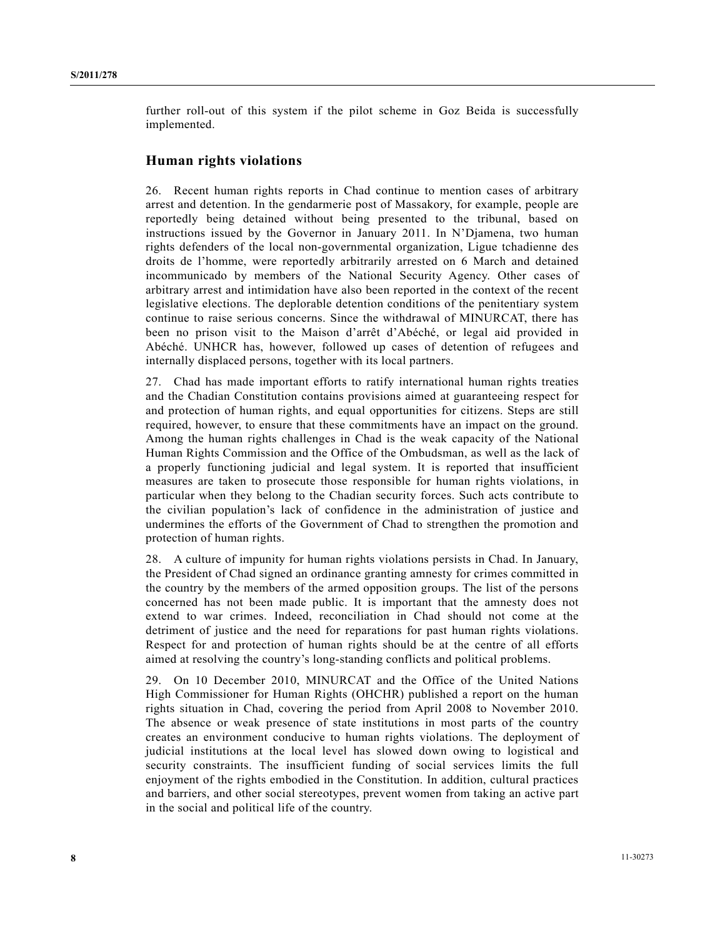further roll-out of this system if the pilot scheme in Goz Beida is successfully implemented.

#### **Human rights violations**

26. Recent human rights reports in Chad continue to mention cases of arbitrary arrest and detention. In the gendarmerie post of Massakory, for example, people are reportedly being detained without being presented to the tribunal, based on instructions issued by the Governor in January 2011. In N'Djamena, two human rights defenders of the local non-governmental organization, Ligue tchadienne des droits de l'homme, were reportedly arbitrarily arrested on 6 March and detained incommunicado by members of the National Security Agency. Other cases of arbitrary arrest and intimidation have also been reported in the context of the recent legislative elections. The deplorable detention conditions of the penitentiary system continue to raise serious concerns. Since the withdrawal of MINURCAT, there has been no prison visit to the Maison d'arrêt d'Abéché, or legal aid provided in Abéché. UNHCR has, however, followed up cases of detention of refugees and internally displaced persons, together with its local partners.

27. Chad has made important efforts to ratify international human rights treaties and the Chadian Constitution contains provisions aimed at guaranteeing respect for and protection of human rights, and equal opportunities for citizens. Steps are still required, however, to ensure that these commitments have an impact on the ground. Among the human rights challenges in Chad is the weak capacity of the National Human Rights Commission and the Office of the Ombudsman, as well as the lack of a properly functioning judicial and legal system. It is reported that insufficient measures are taken to prosecute those responsible for human rights violations, in particular when they belong to the Chadian security forces. Such acts contribute to the civilian population's lack of confidence in the administration of justice and undermines the efforts of the Government of Chad to strengthen the promotion and protection of human rights.

28. A culture of impunity for human rights violations persists in Chad. In January, the President of Chad signed an ordinance granting amnesty for crimes committed in the country by the members of the armed opposition groups. The list of the persons concerned has not been made public. It is important that the amnesty does not extend to war crimes. Indeed, reconciliation in Chad should not come at the detriment of justice and the need for reparations for past human rights violations. Respect for and protection of human rights should be at the centre of all efforts aimed at resolving the country's long-standing conflicts and political problems.

29. On 10 December 2010, MINURCAT and the Office of the United Nations High Commissioner for Human Rights (OHCHR) published a report on the human rights situation in Chad, covering the period from April 2008 to November 2010. The absence or weak presence of state institutions in most parts of the country creates an environment conducive to human rights violations. The deployment of judicial institutions at the local level has slowed down owing to logistical and security constraints. The insufficient funding of social services limits the full enjoyment of the rights embodied in the Constitution. In addition, cultural practices and barriers, and other social stereotypes, prevent women from taking an active part in the social and political life of the country.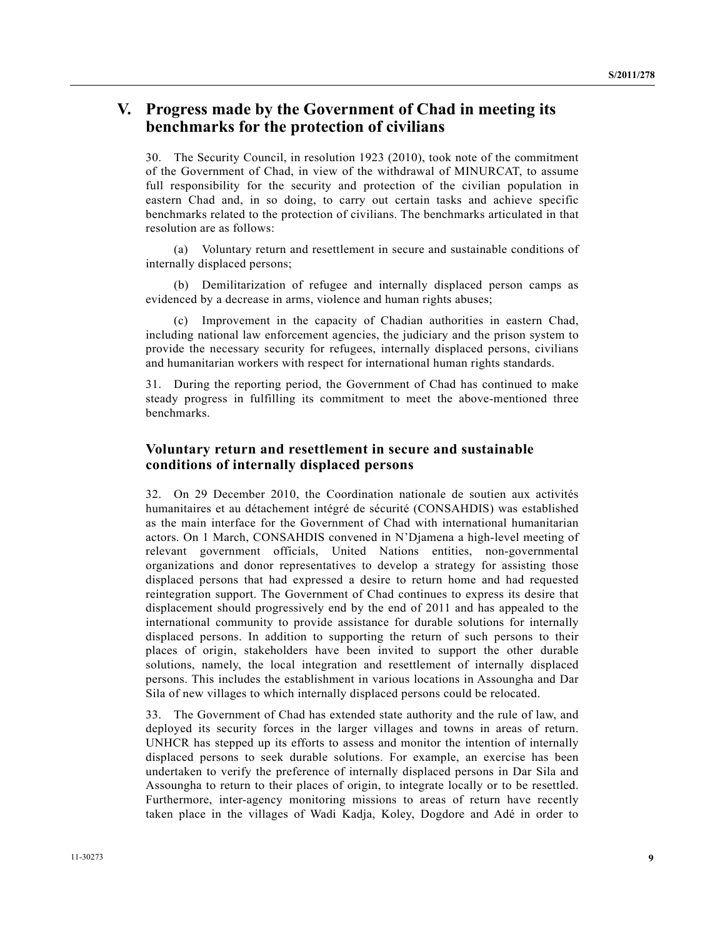# **V. Progress made by the Government of Chad in meeting its benchmarks for the protection of civilians**

30. The Security Council, in resolution 1923 (2010), took note of the commitment of the Government of Chad, in view of the withdrawal of MINURCAT, to assume full responsibility for the security and protection of the civilian population in eastern Chad and, in so doing, to carry out certain tasks and achieve specific benchmarks related to the protection of civilians. The benchmarks articulated in that resolution are as follows:

 (a) Voluntary return and resettlement in secure and sustainable conditions of internally displaced persons;

 (b) Demilitarization of refugee and internally displaced person camps as evidenced by a decrease in arms, violence and human rights abuses;

 (c) Improvement in the capacity of Chadian authorities in eastern Chad, including national law enforcement agencies, the judiciary and the prison system to provide the necessary security for refugees, internally displaced persons, civilians and humanitarian workers with respect for international human rights standards.

31. During the reporting period, the Government of Chad has continued to make steady progress in fulfilling its commitment to meet the above-mentioned three benchmarks.

### **Voluntary return and resettlement in secure and sustainable conditions of internally displaced persons**

32. On 29 December 2010, the Coordination nationale de soutien aux activités humanitaires et au détachement intégré de sécurité (CONSAHDIS) was established as the main interface for the Government of Chad with international humanitarian actors. On 1 March, CONSAHDIS convened in N'Djamena a high-level meeting of relevant government officials, United Nations entities, non-governmental organizations and donor representatives to develop a strategy for assisting those displaced persons that had expressed a desire to return home and had requested reintegration support. The Government of Chad continues to express its desire that displacement should progressively end by the end of 2011 and has appealed to the international community to provide assistance for durable solutions for internally displaced persons. In addition to supporting the return of such persons to their places of origin, stakeholders have been invited to support the other durable solutions, namely, the local integration and resettlement of internally displaced persons. This includes the establishment in various locations in Assoungha and Dar Sila of new villages to which internally displaced persons could be relocated.

33. The Government of Chad has extended state authority and the rule of law, and deployed its security forces in the larger villages and towns in areas of return. UNHCR has stepped up its efforts to assess and monitor the intention of internally displaced persons to seek durable solutions. For example, an exercise has been undertaken to verify the preference of internally displaced persons in Dar Sila and Assoungha to return to their places of origin, to integrate locally or to be resettled. Furthermore, inter-agency monitoring missions to areas of return have recently taken place in the villages of Wadi Kadja, Koley, Dogdore and Adé in order to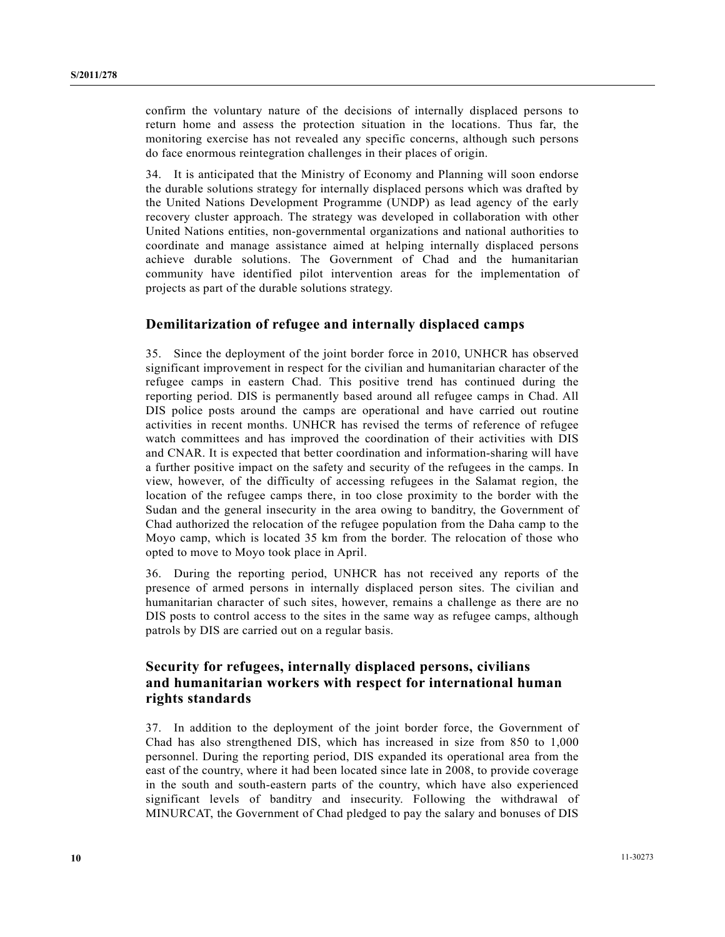confirm the voluntary nature of the decisions of internally displaced persons to return home and assess the protection situation in the locations. Thus far, the monitoring exercise has not revealed any specific concerns, although such persons do face enormous reintegration challenges in their places of origin.

34. It is anticipated that the Ministry of Economy and Planning will soon endorse the durable solutions strategy for internally displaced persons which was drafted by the United Nations Development Programme (UNDP) as lead agency of the early recovery cluster approach. The strategy was developed in collaboration with other United Nations entities, non-governmental organizations and national authorities to coordinate and manage assistance aimed at helping internally displaced persons achieve durable solutions. The Government of Chad and the humanitarian community have identified pilot intervention areas for the implementation of projects as part of the durable solutions strategy.

#### **Demilitarization of refugee and internally displaced camps**

35. Since the deployment of the joint border force in 2010, UNHCR has observed significant improvement in respect for the civilian and humanitarian character of the refugee camps in eastern Chad. This positive trend has continued during the reporting period. DIS is permanently based around all refugee camps in Chad. All DIS police posts around the camps are operational and have carried out routine activities in recent months. UNHCR has revised the terms of reference of refugee watch committees and has improved the coordination of their activities with DIS and CNAR. It is expected that better coordination and information-sharing will have a further positive impact on the safety and security of the refugees in the camps. In view, however, of the difficulty of accessing refugees in the Salamat region, the location of the refugee camps there, in too close proximity to the border with the Sudan and the general insecurity in the area owing to banditry, the Government of Chad authorized the relocation of the refugee population from the Daha camp to the Moyo camp, which is located 35 km from the border. The relocation of those who opted to move to Moyo took place in April.

36. During the reporting period, UNHCR has not received any reports of the presence of armed persons in internally displaced person sites. The civilian and humanitarian character of such sites, however, remains a challenge as there are no DIS posts to control access to the sites in the same way as refugee camps, although patrols by DIS are carried out on a regular basis.

## **Security for refugees, internally displaced persons, civilians and humanitarian workers with respect for international human rights standards**

37. In addition to the deployment of the joint border force, the Government of Chad has also strengthened DIS, which has increased in size from 850 to 1,000 personnel. During the reporting period, DIS expanded its operational area from the east of the country, where it had been located since late in 2008, to provide coverage in the south and south-eastern parts of the country, which have also experienced significant levels of banditry and insecurity. Following the withdrawal of MINURCAT, the Government of Chad pledged to pay the salary and bonuses of DIS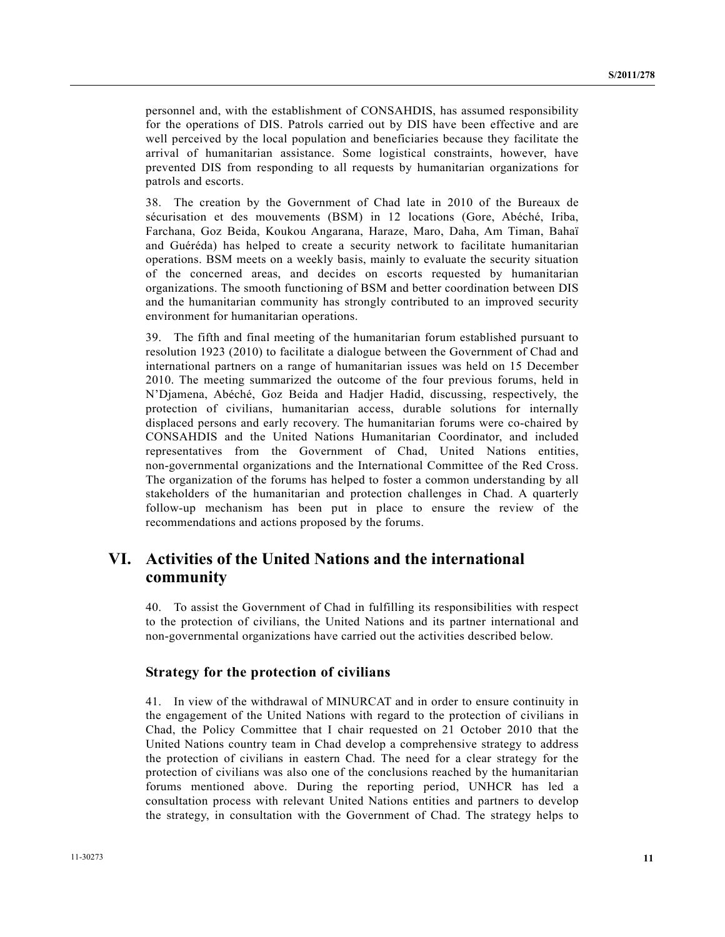personnel and, with the establishment of CONSAHDIS, has assumed responsibility for the operations of DIS. Patrols carried out by DIS have been effective and are well perceived by the local population and beneficiaries because they facilitate the arrival of humanitarian assistance. Some logistical constraints, however, have prevented DIS from responding to all requests by humanitarian organizations for patrols and escorts.

38. The creation by the Government of Chad late in 2010 of the Bureaux de sécurisation et des mouvements (BSM) in 12 locations (Gore, Abéché, Iriba, Farchana, Goz Beida, Koukou Angarana, Haraze, Maro, Daha, Am Timan, Bahaï and Guéréda) has helped to create a security network to facilitate humanitarian operations. BSM meets on a weekly basis, mainly to evaluate the security situation of the concerned areas, and decides on escorts requested by humanitarian organizations. The smooth functioning of BSM and better coordination between DIS and the humanitarian community has strongly contributed to an improved security environment for humanitarian operations.

39. The fifth and final meeting of the humanitarian forum established pursuant to resolution 1923 (2010) to facilitate a dialogue between the Government of Chad and international partners on a range of humanitarian issues was held on 15 December 2010. The meeting summarized the outcome of the four previous forums, held in N'Djamena, Abéché, Goz Beida and Hadjer Hadid, discussing, respectively, the protection of civilians, humanitarian access, durable solutions for internally displaced persons and early recovery. The humanitarian forums were co-chaired by CONSAHDIS and the United Nations Humanitarian Coordinator, and included representatives from the Government of Chad, United Nations entities, non-governmental organizations and the International Committee of the Red Cross. The organization of the forums has helped to foster a common understanding by all stakeholders of the humanitarian and protection challenges in Chad. A quarterly follow-up mechanism has been put in place to ensure the review of the recommendations and actions proposed by the forums.

## **VI. Activities of the United Nations and the international community**

40. To assist the Government of Chad in fulfilling its responsibilities with respect to the protection of civilians, the United Nations and its partner international and non-governmental organizations have carried out the activities described below.

#### **Strategy for the protection of civilians**

41. In view of the withdrawal of MINURCAT and in order to ensure continuity in the engagement of the United Nations with regard to the protection of civilians in Chad, the Policy Committee that I chair requested on 21 October 2010 that the United Nations country team in Chad develop a comprehensive strategy to address the protection of civilians in eastern Chad. The need for a clear strategy for the protection of civilians was also one of the conclusions reached by the humanitarian forums mentioned above. During the reporting period, UNHCR has led a consultation process with relevant United Nations entities and partners to develop the strategy, in consultation with the Government of Chad. The strategy helps to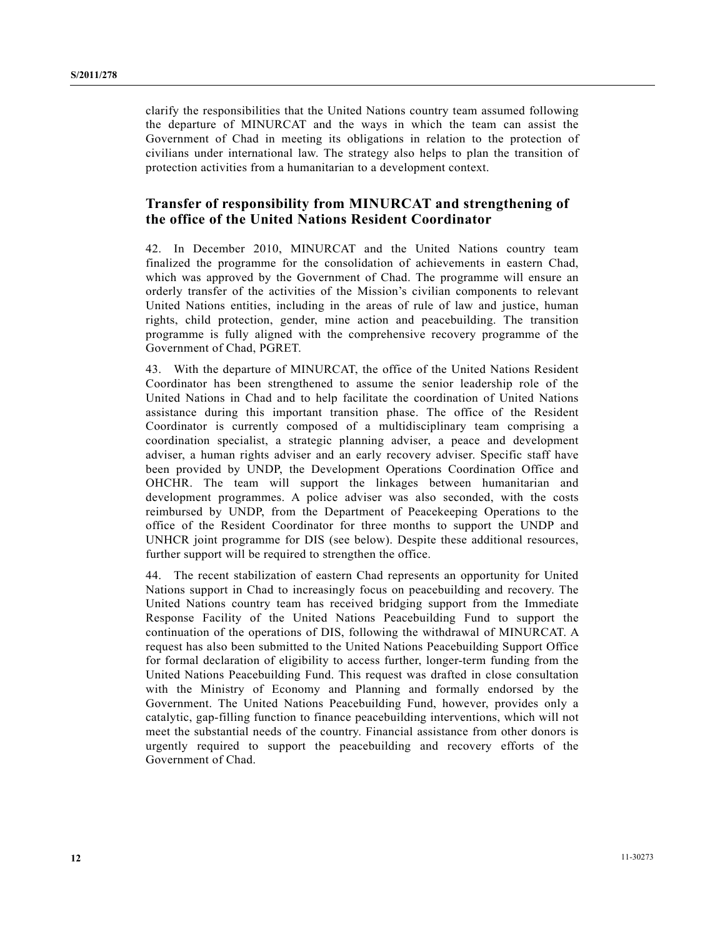clarify the responsibilities that the United Nations country team assumed following the departure of MINURCAT and the ways in which the team can assist the Government of Chad in meeting its obligations in relation to the protection of civilians under international law. The strategy also helps to plan the transition of protection activities from a humanitarian to a development context.

## **Transfer of responsibility from MINURCAT and strengthening of the office of the United Nations Resident Coordinator**

42. In December 2010, MINURCAT and the United Nations country team finalized the programme for the consolidation of achievements in eastern Chad, which was approved by the Government of Chad. The programme will ensure an orderly transfer of the activities of the Mission's civilian components to relevant United Nations entities, including in the areas of rule of law and justice, human rights, child protection, gender, mine action and peacebuilding. The transition programme is fully aligned with the comprehensive recovery programme of the Government of Chad, PGRET.

43. With the departure of MINURCAT, the office of the United Nations Resident Coordinator has been strengthened to assume the senior leadership role of the United Nations in Chad and to help facilitate the coordination of United Nations assistance during this important transition phase. The office of the Resident Coordinator is currently composed of a multidisciplinary team comprising a coordination specialist, a strategic planning adviser, a peace and development adviser, a human rights adviser and an early recovery adviser. Specific staff have been provided by UNDP, the Development Operations Coordination Office and OHCHR. The team will support the linkages between humanitarian and development programmes. A police adviser was also seconded, with the costs reimbursed by UNDP, from the Department of Peacekeeping Operations to the office of the Resident Coordinator for three months to support the UNDP and UNHCR joint programme for DIS (see below). Despite these additional resources, further support will be required to strengthen the office.

44. The recent stabilization of eastern Chad represents an opportunity for United Nations support in Chad to increasingly focus on peacebuilding and recovery. The United Nations country team has received bridging support from the Immediate Response Facility of the United Nations Peacebuilding Fund to support the continuation of the operations of DIS, following the withdrawal of MINURCAT. A request has also been submitted to the United Nations Peacebuilding Support Office for formal declaration of eligibility to access further, longer-term funding from the United Nations Peacebuilding Fund. This request was drafted in close consultation with the Ministry of Economy and Planning and formally endorsed by the Government. The United Nations Peacebuilding Fund, however, provides only a catalytic, gap-filling function to finance peacebuilding interventions, which will not meet the substantial needs of the country. Financial assistance from other donors is urgently required to support the peacebuilding and recovery efforts of the Government of Chad.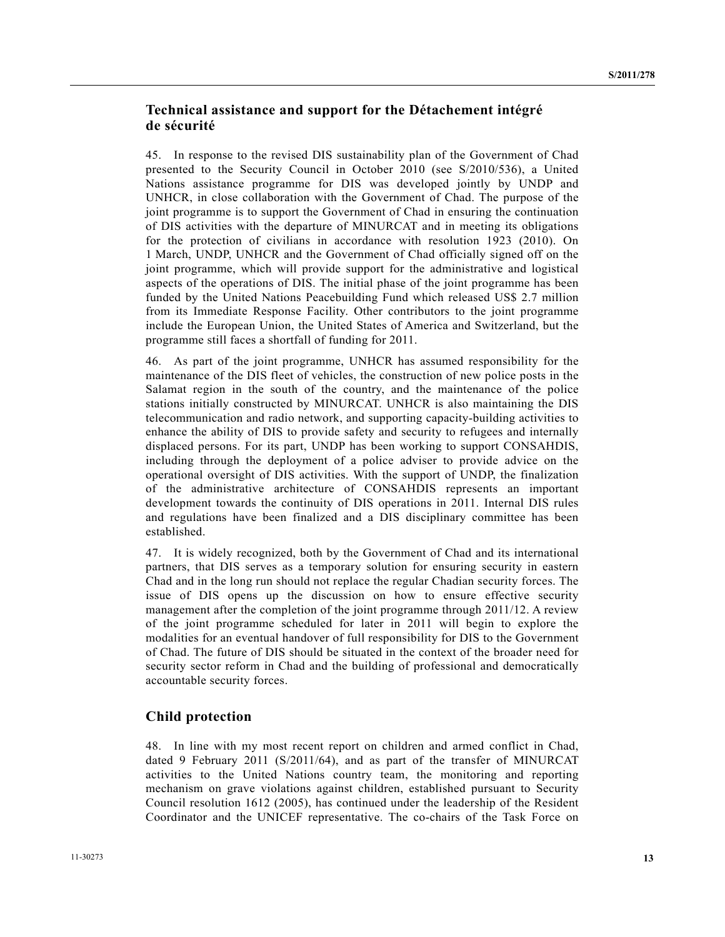## **Technical assistance and support for the Détachement intégré de sécurité**

45. In response to the revised DIS sustainability plan of the Government of Chad presented to the Security Council in October 2010 (see S/2010/536), a United Nations assistance programme for DIS was developed jointly by UNDP and UNHCR, in close collaboration with the Government of Chad. The purpose of the joint programme is to support the Government of Chad in ensuring the continuation of DIS activities with the departure of MINURCAT and in meeting its obligations for the protection of civilians in accordance with resolution 1923 (2010). On 1 March, UNDP, UNHCR and the Government of Chad officially signed off on the joint programme, which will provide support for the administrative and logistical aspects of the operations of DIS. The initial phase of the joint programme has been funded by the United Nations Peacebuilding Fund which released US\$ 2.7 million from its Immediate Response Facility. Other contributors to the joint programme include the European Union, the United States of America and Switzerland, but the programme still faces a shortfall of funding for 2011.

46. As part of the joint programme, UNHCR has assumed responsibility for the maintenance of the DIS fleet of vehicles, the construction of new police posts in the Salamat region in the south of the country, and the maintenance of the police stations initially constructed by MINURCAT. UNHCR is also maintaining the DIS telecommunication and radio network, and supporting capacity-building activities to enhance the ability of DIS to provide safety and security to refugees and internally displaced persons. For its part, UNDP has been working to support CONSAHDIS, including through the deployment of a police adviser to provide advice on the operational oversight of DIS activities. With the support of UNDP, the finalization of the administrative architecture of CONSAHDIS represents an important development towards the continuity of DIS operations in 2011. Internal DIS rules and regulations have been finalized and a DIS disciplinary committee has been established.

47. It is widely recognized, both by the Government of Chad and its international partners, that DIS serves as a temporary solution for ensuring security in eastern Chad and in the long run should not replace the regular Chadian security forces. The issue of DIS opens up the discussion on how to ensure effective security management after the completion of the joint programme through 2011/12. A review of the joint programme scheduled for later in 2011 will begin to explore the modalities for an eventual handover of full responsibility for DIS to the Government of Chad. The future of DIS should be situated in the context of the broader need for security sector reform in Chad and the building of professional and democratically accountable security forces.

### **Child protection**

48. In line with my most recent report on children and armed conflict in Chad, dated 9 February 2011 (S/2011/64), and as part of the transfer of MINURCAT activities to the United Nations country team, the monitoring and reporting mechanism on grave violations against children, established pursuant to Security Council resolution 1612 (2005), has continued under the leadership of the Resident Coordinator and the UNICEF representative. The co-chairs of the Task Force on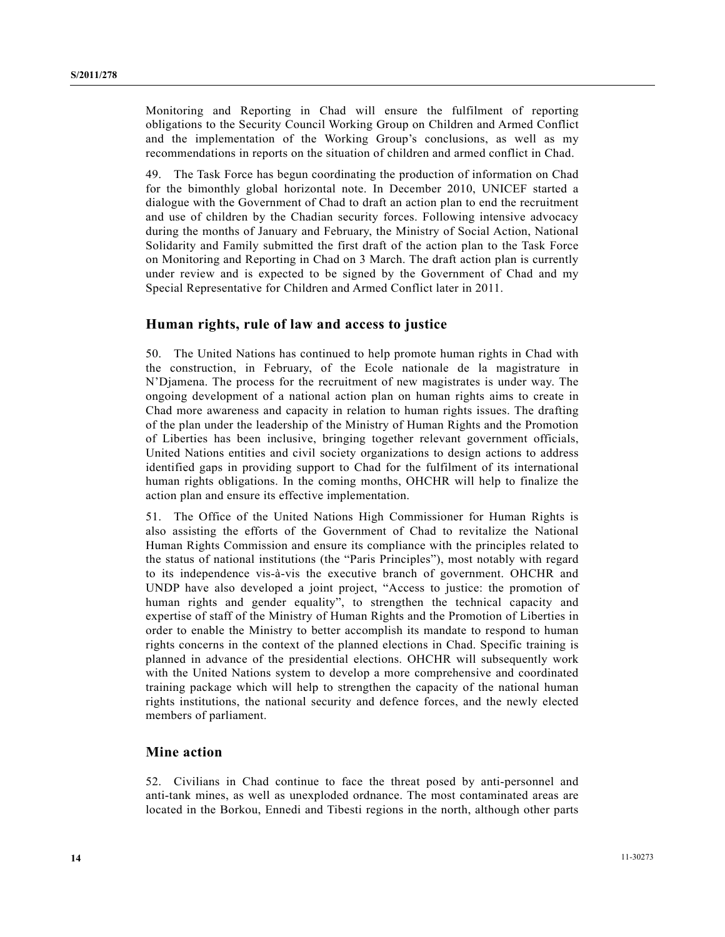Monitoring and Reporting in Chad will ensure the fulfilment of reporting obligations to the Security Council Working Group on Children and Armed Conflict and the implementation of the Working Group's conclusions, as well as my recommendations in reports on the situation of children and armed conflict in Chad.

49. The Task Force has begun coordinating the production of information on Chad for the bimonthly global horizontal note. In December 2010, UNICEF started a dialogue with the Government of Chad to draft an action plan to end the recruitment and use of children by the Chadian security forces. Following intensive advocacy during the months of January and February, the Ministry of Social Action, National Solidarity and Family submitted the first draft of the action plan to the Task Force on Monitoring and Reporting in Chad on 3 March. The draft action plan is currently under review and is expected to be signed by the Government of Chad and my Special Representative for Children and Armed Conflict later in 2011.

#### **Human rights, rule of law and access to justice**

50. The United Nations has continued to help promote human rights in Chad with the construction, in February, of the Ecole nationale de la magistrature in N'Djamena. The process for the recruitment of new magistrates is under way. The ongoing development of a national action plan on human rights aims to create in Chad more awareness and capacity in relation to human rights issues. The drafting of the plan under the leadership of the Ministry of Human Rights and the Promotion of Liberties has been inclusive, bringing together relevant government officials, United Nations entities and civil society organizations to design actions to address identified gaps in providing support to Chad for the fulfilment of its international human rights obligations. In the coming months, OHCHR will help to finalize the action plan and ensure its effective implementation.

51. The Office of the United Nations High Commissioner for Human Rights is also assisting the efforts of the Government of Chad to revitalize the National Human Rights Commission and ensure its compliance with the principles related to the status of national institutions (the "Paris Principles"), most notably with regard to its independence vis-à-vis the executive branch of government. OHCHR and UNDP have also developed a joint project, "Access to justice: the promotion of human rights and gender equality", to strengthen the technical capacity and expertise of staff of the Ministry of Human Rights and the Promotion of Liberties in order to enable the Ministry to better accomplish its mandate to respond to human rights concerns in the context of the planned elections in Chad. Specific training is planned in advance of the presidential elections. OHCHR will subsequently work with the United Nations system to develop a more comprehensive and coordinated training package which will help to strengthen the capacity of the national human rights institutions, the national security and defence forces, and the newly elected members of parliament.

#### **Mine action**

52. Civilians in Chad continue to face the threat posed by anti-personnel and anti-tank mines, as well as unexploded ordnance. The most contaminated areas are located in the Borkou, Ennedi and Tibesti regions in the north, although other parts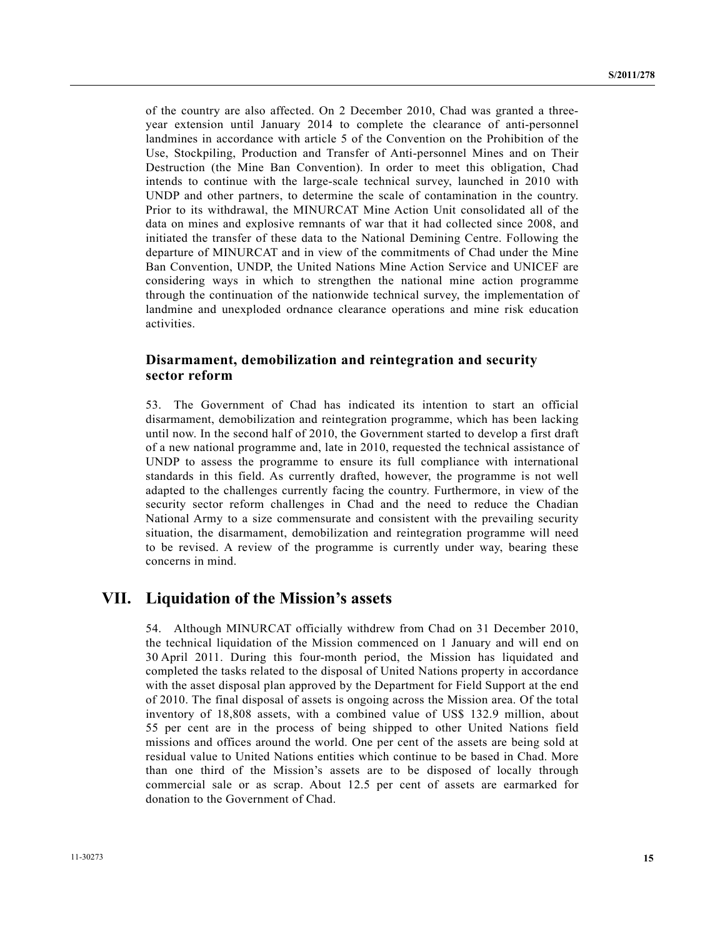of the country are also affected. On 2 December 2010, Chad was granted a threeyear extension until January 2014 to complete the clearance of anti-personnel landmines in accordance with article 5 of the Convention on the Prohibition of the Use, Stockpiling, Production and Transfer of Anti-personnel Mines and on Their Destruction (the Mine Ban Convention). In order to meet this obligation, Chad intends to continue with the large-scale technical survey, launched in 2010 with UNDP and other partners, to determine the scale of contamination in the country. Prior to its withdrawal, the MINURCAT Mine Action Unit consolidated all of the data on mines and explosive remnants of war that it had collected since 2008, and initiated the transfer of these data to the National Demining Centre. Following the departure of MINURCAT and in view of the commitments of Chad under the Mine Ban Convention, UNDP, the United Nations Mine Action Service and UNICEF are considering ways in which to strengthen the national mine action programme through the continuation of the nationwide technical survey, the implementation of landmine and unexploded ordnance clearance operations and mine risk education activities.

### **Disarmament, demobilization and reintegration and security sector reform**

53. The Government of Chad has indicated its intention to start an official disarmament, demobilization and reintegration programme, which has been lacking until now. In the second half of 2010, the Government started to develop a first draft of a new national programme and, late in 2010, requested the technical assistance of UNDP to assess the programme to ensure its full compliance with international standards in this field. As currently drafted, however, the programme is not well adapted to the challenges currently facing the country. Furthermore, in view of the security sector reform challenges in Chad and the need to reduce the Chadian National Army to a size commensurate and consistent with the prevailing security situation, the disarmament, demobilization and reintegration programme will need to be revised. A review of the programme is currently under way, bearing these concerns in mind.

## **VII. Liquidation of the Mission's assets**

54. Although MINURCAT officially withdrew from Chad on 31 December 2010, the technical liquidation of the Mission commenced on 1 January and will end on 30 April 2011. During this four-month period, the Mission has liquidated and completed the tasks related to the disposal of United Nations property in accordance with the asset disposal plan approved by the Department for Field Support at the end of 2010. The final disposal of assets is ongoing across the Mission area. Of the total inventory of 18,808 assets, with a combined value of US\$ 132.9 million, about 55 per cent are in the process of being shipped to other United Nations field missions and offices around the world. One per cent of the assets are being sold at residual value to United Nations entities which continue to be based in Chad. More than one third of the Mission's assets are to be disposed of locally through commercial sale or as scrap. About 12.5 per cent of assets are earmarked for donation to the Government of Chad.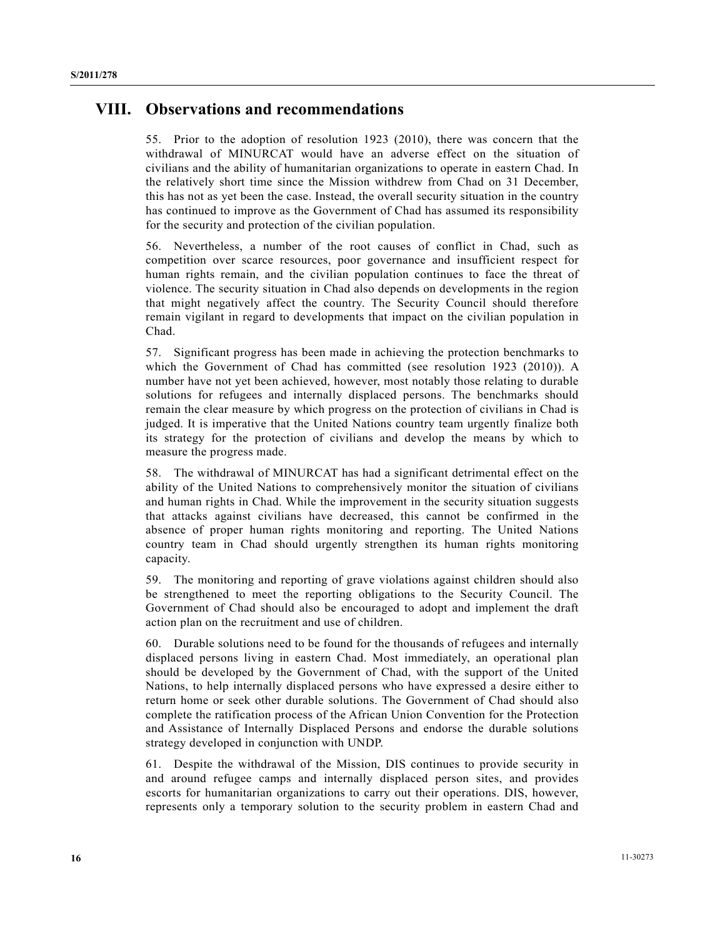# **VIII. Observations and recommendations**

55. Prior to the adoption of resolution 1923 (2010), there was concern that the withdrawal of MINURCAT would have an adverse effect on the situation of civilians and the ability of humanitarian organizations to operate in eastern Chad. In the relatively short time since the Mission withdrew from Chad on 31 December, this has not as yet been the case. Instead, the overall security situation in the country has continued to improve as the Government of Chad has assumed its responsibility for the security and protection of the civilian population.

56. Nevertheless, a number of the root causes of conflict in Chad, such as competition over scarce resources, poor governance and insufficient respect for human rights remain, and the civilian population continues to face the threat of violence. The security situation in Chad also depends on developments in the region that might negatively affect the country. The Security Council should therefore remain vigilant in regard to developments that impact on the civilian population in Chad.

57. Significant progress has been made in achieving the protection benchmarks to which the Government of Chad has committed (see resolution 1923 (2010)). A number have not yet been achieved, however, most notably those relating to durable solutions for refugees and internally displaced persons. The benchmarks should remain the clear measure by which progress on the protection of civilians in Chad is judged. It is imperative that the United Nations country team urgently finalize both its strategy for the protection of civilians and develop the means by which to measure the progress made.

58. The withdrawal of MINURCAT has had a significant detrimental effect on the ability of the United Nations to comprehensively monitor the situation of civilians and human rights in Chad. While the improvement in the security situation suggests that attacks against civilians have decreased, this cannot be confirmed in the absence of proper human rights monitoring and reporting. The United Nations country team in Chad should urgently strengthen its human rights monitoring capacity.

59. The monitoring and reporting of grave violations against children should also be strengthened to meet the reporting obligations to the Security Council. The Government of Chad should also be encouraged to adopt and implement the draft action plan on the recruitment and use of children.

60. Durable solutions need to be found for the thousands of refugees and internally displaced persons living in eastern Chad. Most immediately, an operational plan should be developed by the Government of Chad, with the support of the United Nations, to help internally displaced persons who have expressed a desire either to return home or seek other durable solutions. The Government of Chad should also complete the ratification process of the African Union Convention for the Protection and Assistance of Internally Displaced Persons and endorse the durable solutions strategy developed in conjunction with UNDP.

61. Despite the withdrawal of the Mission, DIS continues to provide security in and around refugee camps and internally displaced person sites, and provides escorts for humanitarian organizations to carry out their operations. DIS, however, represents only a temporary solution to the security problem in eastern Chad and